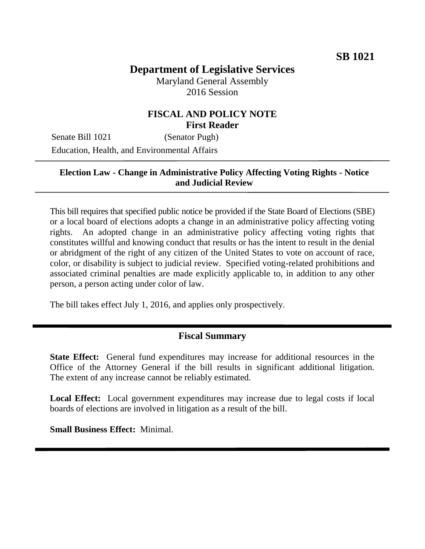# **Department of Legislative Services** Maryland General Assembly

2016 Session

# **FISCAL AND POLICY NOTE First Reader**

Senate Bill 1021 (Senator Pugh) Education, Health, and Environmental Affairs

### **Election Law - Change in Administrative Policy Affecting Voting Rights - Notice and Judicial Review**

This bill requires that specified public notice be provided if the State Board of Elections (SBE) or a local board of elections adopts a change in an administrative policy affecting voting rights. An adopted change in an administrative policy affecting voting rights that constitutes willful and knowing conduct that results or has the intent to result in the denial or abridgment of the right of any citizen of the United States to vote on account of race, color, or disability is subject to judicial review. Specified voting-related prohibitions and associated criminal penalties are made explicitly applicable to, in addition to any other person, a person acting under color of law.

The bill takes effect July 1, 2016, and applies only prospectively.

## **Fiscal Summary**

**State Effect:** General fund expenditures may increase for additional resources in the Office of the Attorney General if the bill results in significant additional litigation. The extent of any increase cannot be reliably estimated.

**Local Effect:** Local government expenditures may increase due to legal costs if local boards of elections are involved in litigation as a result of the bill.

**Small Business Effect:** Minimal.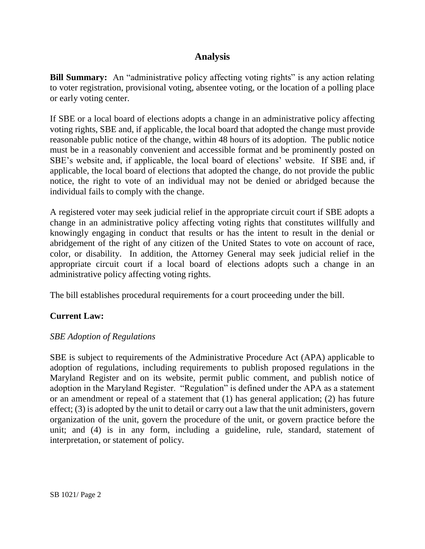# **Analysis**

**Bill Summary:** An "administrative policy affecting voting rights" is any action relating to voter registration, provisional voting, absentee voting, or the location of a polling place or early voting center.

If SBE or a local board of elections adopts a change in an administrative policy affecting voting rights, SBE and, if applicable, the local board that adopted the change must provide reasonable public notice of the change, within 48 hours of its adoption. The public notice must be in a reasonably convenient and accessible format and be prominently posted on SBE's website and, if applicable, the local board of elections' website. If SBE and, if applicable, the local board of elections that adopted the change, do not provide the public notice, the right to vote of an individual may not be denied or abridged because the individual fails to comply with the change.

A registered voter may seek judicial relief in the appropriate circuit court if SBE adopts a change in an administrative policy affecting voting rights that constitutes willfully and knowingly engaging in conduct that results or has the intent to result in the denial or abridgement of the right of any citizen of the United States to vote on account of race, color, or disability. In addition, the Attorney General may seek judicial relief in the appropriate circuit court if a local board of elections adopts such a change in an administrative policy affecting voting rights.

The bill establishes procedural requirements for a court proceeding under the bill.

## **Current Law:**

### *SBE Adoption of Regulations*

SBE is subject to requirements of the Administrative Procedure Act (APA) applicable to adoption of regulations, including requirements to publish proposed regulations in the Maryland Register and on its website, permit public comment, and publish notice of adoption in the Maryland Register. "Regulation" is defined under the APA as a statement or an amendment or repeal of a statement that (1) has general application; (2) has future effect; (3) is adopted by the unit to detail or carry out a law that the unit administers, govern organization of the unit, govern the procedure of the unit, or govern practice before the unit; and (4) is in any form, including a guideline, rule, standard, statement of interpretation, or statement of policy.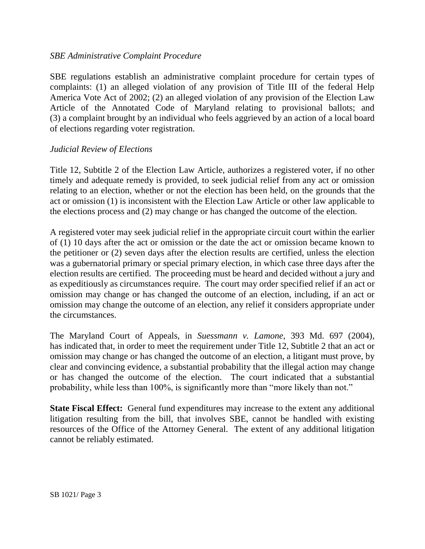#### *SBE Administrative Complaint Procedure*

SBE regulations establish an administrative complaint procedure for certain types of complaints: (1) an alleged violation of any provision of Title III of the federal Help America Vote Act of 2002; (2) an alleged violation of any provision of the Election Law Article of the Annotated Code of Maryland relating to provisional ballots; and (3) a complaint brought by an individual who feels aggrieved by an action of a local board of elections regarding voter registration.

#### *Judicial Review of Elections*

Title 12, Subtitle 2 of the Election Law Article, authorizes a registered voter, if no other timely and adequate remedy is provided, to seek judicial relief from any act or omission relating to an election, whether or not the election has been held, on the grounds that the act or omission (1) is inconsistent with the Election Law Article or other law applicable to the elections process and (2) may change or has changed the outcome of the election.

A registered voter may seek judicial relief in the appropriate circuit court within the earlier of (1) 10 days after the act or omission or the date the act or omission became known to the petitioner or (2) seven days after the election results are certified, unless the election was a gubernatorial primary or special primary election, in which case three days after the election results are certified. The proceeding must be heard and decided without a jury and as expeditiously as circumstances require. The court may order specified relief if an act or omission may change or has changed the outcome of an election, including, if an act or omission may change the outcome of an election, any relief it considers appropriate under the circumstances.

The Maryland Court of Appeals, in *Suessmann v. Lamone*, 393 Md. 697 (2004), has indicated that, in order to meet the requirement under Title 12, Subtitle 2 that an act or omission may change or has changed the outcome of an election, a litigant must prove, by clear and convincing evidence, a substantial probability that the illegal action may change or has changed the outcome of the election. The court indicated that a substantial probability, while less than 100%, is significantly more than "more likely than not."

**State Fiscal Effect:** General fund expenditures may increase to the extent any additional litigation resulting from the bill, that involves SBE, cannot be handled with existing resources of the Office of the Attorney General. The extent of any additional litigation cannot be reliably estimated.